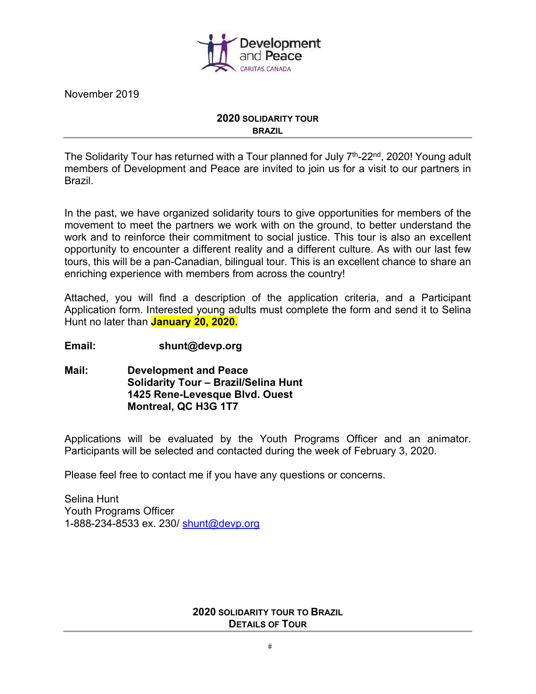

November 2019

#### **2020 SOLIDARITY TOUR BRAZIL**

The Solidarity Tour has returned with a Tour planned for July  $7<sup>th</sup>$ -22<sup>nd</sup>, 2020! Young adult members of Development and Peace are invited to join us for a visit to our partners in Brazil.

In the past, we have organized solidarity tours to give opportunities for members of the movement to meet the partners we work with on the ground, to better understand the work and to reinforce their commitment to social justice. This tour is also an excellent opportunity to encounter a different reality and a different culture. As with our last few tours, this will be a pan-Canadian, bilingual tour. This is an excellent chance to share an enriching experience with members from across the country!

Attached, you will find a description of the application criteria, and a Participant Application form. Interested young adults must complete the form and send it to Selina Hunt no later than **January 20, 2020.** 

#### **Email: shunt@devp.org**

**Mail: Development and Peace Solidarity Tour – Brazil/Selina Hunt 1425 Rene-Levesque Blvd. Ouest Montreal, QC H3G 1T7** 

Applications will be evaluated by the Youth Programs Officer and an animator. Participants will be selected and contacted during the week of February 3, 2020.

Please feel free to contact me if you have any questions or concerns.

Selina Hunt Youth Programs Officer 1-888-234-8533 ex. 230/ shunt@devp.org

#### **2020 SOLIDARITY TOUR TO BRAZIL DETAILS OF TOUR**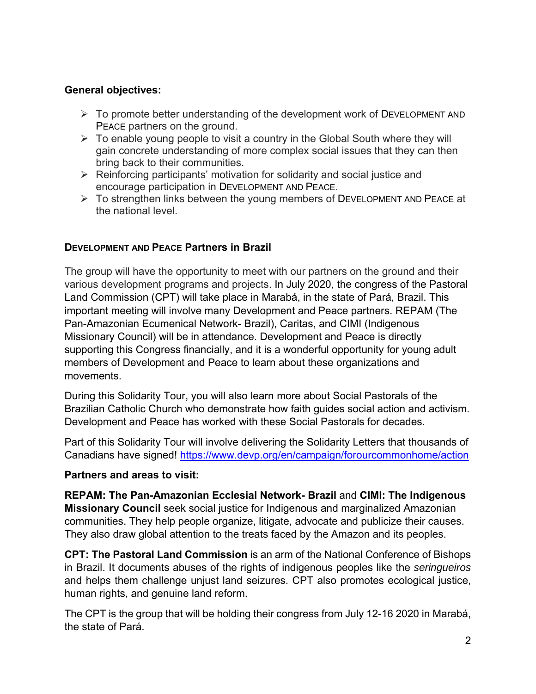# **General objectives:**

- $\triangleright$  To promote better understanding of the development work of DEVELOPMENT AND PEACE partners on the ground.
- $\triangleright$  To enable young people to visit a country in the Global South where they will gain concrete understanding of more complex social issues that they can then bring back to their communities.
- $\triangleright$  Reinforcing participants' motivation for solidarity and social justice and encourage participation in DEVELOPMENT AND PEACE.
- $\triangleright$  To strengthen links between the young members of DEVELOPMENT AND PEACE at the national level.

# **DEVELOPMENT AND PEACE Partners in Brazil**

The group will have the opportunity to meet with our partners on the ground and their various development programs and projects. In July 2020, the congress of the Pastoral Land Commission (CPT) will take place in Marabá, in the state of Pará, Brazil. This important meeting will involve many Development and Peace partners. REPAM (The Pan-Amazonian Ecumenical Network- Brazil), Caritas, and CIMI (Indigenous Missionary Council) will be in attendance. Development and Peace is directly supporting this Congress financially, and it is a wonderful opportunity for young adult members of Development and Peace to learn about these organizations and movements.

During this Solidarity Tour, you will also learn more about Social Pastorals of the Brazilian Catholic Church who demonstrate how faith guides social action and activism. Development and Peace has worked with these Social Pastorals for decades.

Part of this Solidarity Tour will involve delivering the Solidarity Letters that thousands of Canadians have signed! https://www.devp.org/en/campaign/forourcommonhome/action

## **Partners and areas to visit:**

**REPAM: The Pan-Amazonian Ecclesial Network- Brazil** and **CIMI: The Indigenous Missionary Council** seek social justice for Indigenous and marginalized Amazonian communities. They help people organize, litigate, advocate and publicize their causes. They also draw global attention to the treats faced by the Amazon and its peoples.

**CPT: The Pastoral Land Commission** is an arm of the National Conference of Bishops in Brazil. It documents abuses of the rights of indigenous peoples like the *seringueiros* and helps them challenge unjust land seizures. CPT also promotes ecological justice, human rights, and genuine land reform.

The CPT is the group that will be holding their congress from July 12-16 2020 in Marabá, the state of Pará.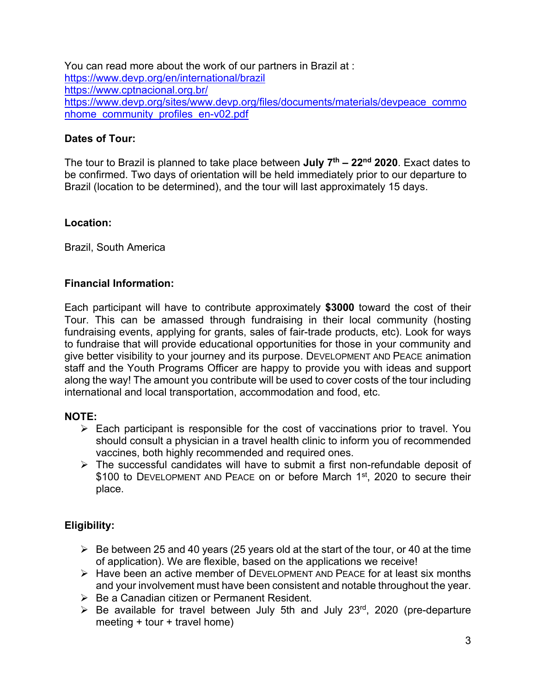You can read more about the work of our partners in Brazil at : https://www.devp.org/en/international/brazil https://www.cptnacional.org.br/ https://www.devp.org/sites/www.devp.org/files/documents/materials/devpeace\_commo nhome\_community\_profiles\_en-v02.pdf

### **Dates of Tour:**

The tour to Brazil is planned to take place between **July 7th – 22nd 2020**. Exact dates to be confirmed. Two days of orientation will be held immediately prior to our departure to Brazil (location to be determined), and the tour will last approximately 15 days.

#### **Location:**

Brazil, South America

### **Financial Information:**

Each participant will have to contribute approximately **\$3000** toward the cost of their Tour. This can be amassed through fundraising in their local community (hosting fundraising events, applying for grants, sales of fair-trade products, etc). Look for ways to fundraise that will provide educational opportunities for those in your community and give better visibility to your journey and its purpose. DEVELOPMENT AND PEACE animation staff and the Youth Programs Officer are happy to provide you with ideas and support along the way! The amount you contribute will be used to cover costs of the tour including international and local transportation, accommodation and food, etc.

#### **NOTE:**

- $\triangleright$  Each participant is responsible for the cost of vaccinations prior to travel. You should consult a physician in a travel health clinic to inform you of recommended vaccines, both highly recommended and required ones.
- The successful candidates will have to submit a first non-refundable deposit of \$100 to DEVELOPMENT AND PEACE on or before March 1<sup>st</sup>, 2020 to secure their place.

## **Eligibility:**

- $\triangleright$  Be between 25 and 40 years (25 years old at the start of the tour, or 40 at the time of application). We are flexible, based on the applications we receive!
- $\triangleright$  Have been an active member of DEVELOPMENT AND PEACE for at least six months and your involvement must have been consistent and notable throughout the year.
- $\triangleright$  Be a Canadian citizen or Permanent Resident.
- $\triangleright$  Be available for travel between July 5th and July 23<sup>rd</sup>, 2020 (pre-departure meeting + tour + travel home)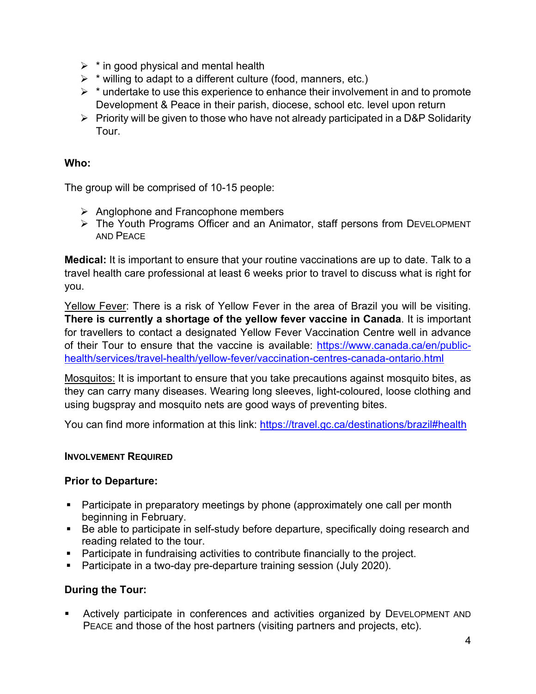- $\triangleright$  \* in good physical and mental health
- $\triangleright$  \* willing to adapt to a different culture (food, manners, etc.)
- $\triangleright$  \* undertake to use this experience to enhance their involvement in and to promote Development & Peace in their parish, diocese, school etc. level upon return
- $\triangleright$  Priority will be given to those who have not already participated in a D&P Solidarity Tour.

# **Who:**

The group will be comprised of 10-15 people:

- $\triangleright$  Anglophone and Francophone members
- The Youth Programs Officer and an Animator, staff persons from DEVELOPMENT AND PEACE

**Medical:** It is important to ensure that your routine vaccinations are up to date. Talk to a travel health care professional at least 6 weeks prior to travel to discuss what is right for you.

Yellow Fever: There is a risk of Yellow Fever in the area of Brazil you will be visiting. **There is currently a shortage of the yellow fever vaccine in Canada**. It is important for travellers to contact a designated Yellow Fever Vaccination Centre well in advance of their Tour to ensure that the vaccine is available: https://www.canada.ca/en/publichealth/services/travel-health/yellow-fever/vaccination-centres-canada-ontario.html

Mosquitos: It is important to ensure that you take precautions against mosquito bites, as they can carry many diseases. Wearing long sleeves, light-coloured, loose clothing and using bugspray and mosquito nets are good ways of preventing bites.

You can find more information at this link: https://travel.gc.ca/destinations/brazil#health

## **INVOLVEMENT REQUIRED**

# **Prior to Departure:**

- Participate in preparatory meetings by phone (approximately one call per month beginning in February.
- **Be able to participate in self-study before departure, specifically doing research and** reading related to the tour.
- Participate in fundraising activities to contribute financially to the project.
- **Participate in a two-day pre-departure training session (July 2020).**

# **During the Tour:**

 Actively participate in conferences and activities organized by DEVELOPMENT AND PEACE and those of the host partners (visiting partners and projects, etc).